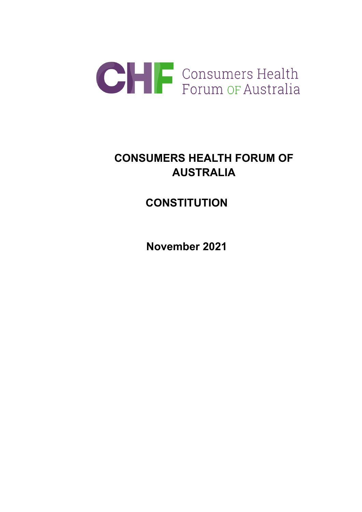

# **CONSUMERS HEALTH FORUM OF AUSTRALIA**

# **CONSTITUTION**

**November 2021**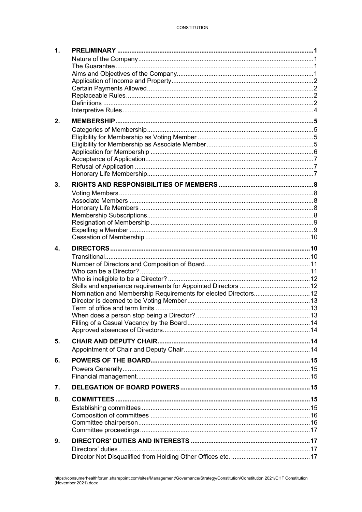| 1. |                                                                 |  |
|----|-----------------------------------------------------------------|--|
|    |                                                                 |  |
|    |                                                                 |  |
|    |                                                                 |  |
|    |                                                                 |  |
|    |                                                                 |  |
|    |                                                                 |  |
|    |                                                                 |  |
|    |                                                                 |  |
| 2. |                                                                 |  |
|    |                                                                 |  |
|    |                                                                 |  |
|    |                                                                 |  |
|    |                                                                 |  |
|    |                                                                 |  |
|    |                                                                 |  |
| 3. |                                                                 |  |
|    |                                                                 |  |
|    |                                                                 |  |
|    |                                                                 |  |
|    |                                                                 |  |
|    |                                                                 |  |
|    |                                                                 |  |
|    |                                                                 |  |
| 4. |                                                                 |  |
|    |                                                                 |  |
|    |                                                                 |  |
|    |                                                                 |  |
|    |                                                                 |  |
|    | Nomination and Membership Requirements for elected Directors 12 |  |
|    |                                                                 |  |
|    |                                                                 |  |
|    |                                                                 |  |
|    |                                                                 |  |
|    |                                                                 |  |
| 5. |                                                                 |  |
|    |                                                                 |  |
| 6. |                                                                 |  |
|    |                                                                 |  |
|    |                                                                 |  |
| 7. |                                                                 |  |
| 8. |                                                                 |  |
|    |                                                                 |  |
|    |                                                                 |  |
|    |                                                                 |  |
|    |                                                                 |  |
| 9. |                                                                 |  |
|    |                                                                 |  |
|    |                                                                 |  |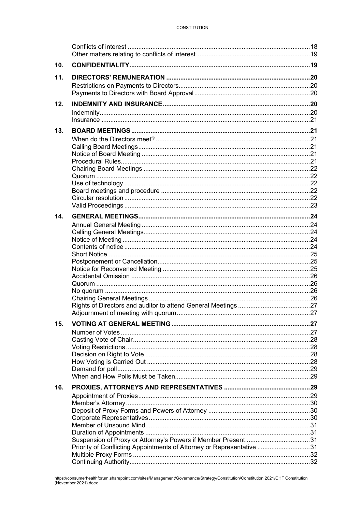| 10. |                                                                       |  |
|-----|-----------------------------------------------------------------------|--|
| 11. |                                                                       |  |
|     |                                                                       |  |
| 12. |                                                                       |  |
|     |                                                                       |  |
|     |                                                                       |  |
| 13. |                                                                       |  |
|     |                                                                       |  |
|     |                                                                       |  |
|     |                                                                       |  |
|     |                                                                       |  |
|     |                                                                       |  |
|     |                                                                       |  |
|     |                                                                       |  |
| 14. |                                                                       |  |
|     |                                                                       |  |
|     |                                                                       |  |
|     |                                                                       |  |
|     |                                                                       |  |
|     |                                                                       |  |
|     |                                                                       |  |
|     |                                                                       |  |
|     |                                                                       |  |
|     |                                                                       |  |
| 15. |                                                                       |  |
|     |                                                                       |  |
|     |                                                                       |  |
|     |                                                                       |  |
|     |                                                                       |  |
|     |                                                                       |  |
| 16. |                                                                       |  |
|     |                                                                       |  |
|     |                                                                       |  |
|     |                                                                       |  |
|     |                                                                       |  |
|     |                                                                       |  |
|     | Priority of Conflicting Appointments of Attorney or Representative 31 |  |
|     |                                                                       |  |
|     |                                                                       |  |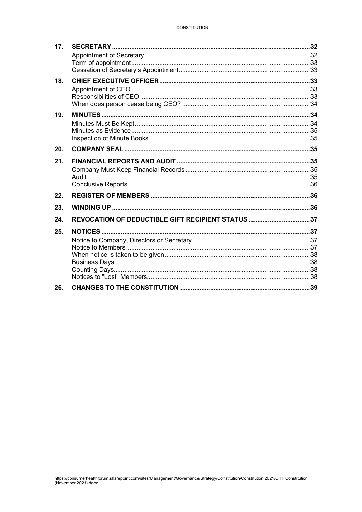| 17. |                                                   |  |
|-----|---------------------------------------------------|--|
|     |                                                   |  |
|     |                                                   |  |
|     |                                                   |  |
| 18. |                                                   |  |
|     |                                                   |  |
|     |                                                   |  |
|     |                                                   |  |
| 19. |                                                   |  |
|     |                                                   |  |
|     |                                                   |  |
|     |                                                   |  |
| 20. |                                                   |  |
| 21. |                                                   |  |
|     |                                                   |  |
|     |                                                   |  |
|     |                                                   |  |
| 22. |                                                   |  |
| 23. |                                                   |  |
| 24. | REVOCATION OF DEDUCTIBLE GIFT RECIPIENT STATUS 37 |  |
| 25. |                                                   |  |
|     |                                                   |  |
|     |                                                   |  |
|     |                                                   |  |
|     |                                                   |  |
|     |                                                   |  |
|     |                                                   |  |
| 26. |                                                   |  |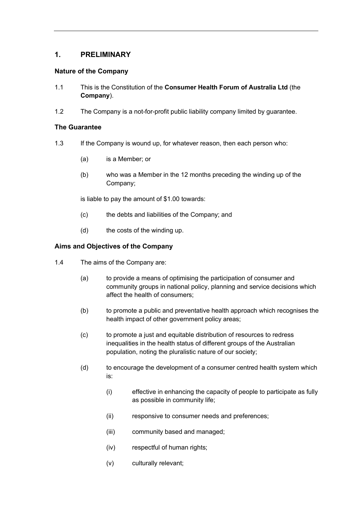# <span id="page-4-0"></span>**1. PRELIMINARY**

## <span id="page-4-1"></span>**Nature of the Company**

- <span id="page-4-5"></span>1.1 This is the Constitution of the **Consumer Health Forum of Australia Ltd** (the **Company**).
- 1.2 The Company is a not-for-profit public liability company limited by guarantee.

## <span id="page-4-2"></span>**The Guarantee**

- 1.3 If the Company is wound up, for whatever reason, then each person who:
	- (a) is a Member; or
	- (b) who was a Member in the 12 months preceding the winding up of the Company;

is liable to pay the amount of \$1.00 towards:

- (c) the debts and liabilities of the Company; and
- (d) the costs of the winding up.

## <span id="page-4-3"></span>**Aims and Objectives of the Company**

- <span id="page-4-4"></span>1.4 The aims of the Company are:
	- (a) to provide a means of optimising the participation of consumer and community groups in national policy, planning and service decisions which affect the health of consumers;
	- (b) to promote a public and preventative health approach which recognises the health impact of other government policy areas;
	- (c) to promote a just and equitable distribution of resources to redress inequalities in the health status of different groups of the Australian population, noting the pluralistic nature of our society;
	- (d) to encourage the development of a consumer centred health system which is:
		- (i) effective in enhancing the capacity of people to participate as fully as possible in community life;
		- (ii) responsive to consumer needs and preferences;
		- (iii) community based and managed;
		- (iv) respectful of human rights;
		- (v) culturally relevant;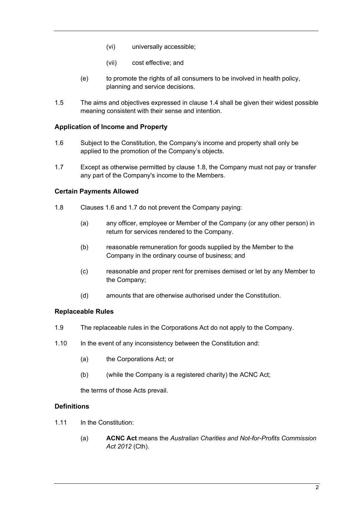- (vi) universally accessible;
- (vii) cost effective; and
- (e) to promote the rights of all consumers to be involved in health policy, planning and service decisions.
- 1.5 The aims and objectives expressed in clause [1.4](#page-4-4) shall be given their widest possible meaning consistent with their sense and intention.

#### <span id="page-5-0"></span>**Application of Income and Property**

- <span id="page-5-5"></span>1.6 Subject to the Constitution, the Company's income and property shall only be applied to the promotion of the Company's objects.
- <span id="page-5-6"></span>1.7 Except as otherwise permitted by clause [1.8,](#page-5-4) the Company must not pay or transfer any part of the Company's income to the Members.

#### <span id="page-5-1"></span>**Certain Payments Allowed**

- <span id="page-5-4"></span>1.8 Clauses [1.6](#page-5-5) and [1.7](#page-5-6) do not prevent the Company paying:
	- (a) any officer, employee or Member of the Company (or any other person) in return for services rendered to the Company.
	- (b) reasonable remuneration for goods supplied by the Member to the Company in the ordinary course of business; and
	- (c) reasonable and proper rent for premises demised or let by any Member to the Company;
	- (d) amounts that are otherwise authorised under the Constitution.

#### <span id="page-5-2"></span>**Replaceable Rules**

- 1.9 The replaceable rules in the Corporations Act do not apply to the Company.
- 1.10 In the event of any inconsistency between the Constitution and:
	- (a) the Corporations Act; or
	- (b) (while the Company is a registered charity) the ACNC Act;

the terms of those Acts prevail.

#### <span id="page-5-3"></span>**Definitions**

- 1.11 In the Constitution:
	- (a) **ACNC Act** means the *Australian Charities and Not-for-Profits Commission Act 2012* (Cth).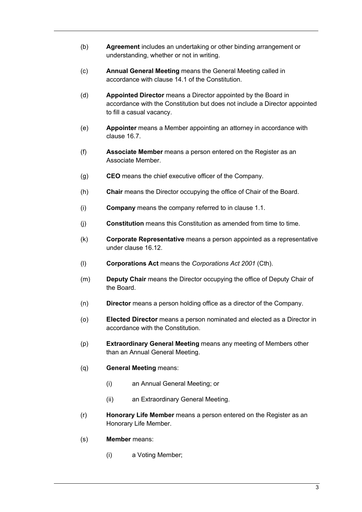- (b) **Agreement** includes an undertaking or other binding arrangement or understanding, whether or not in writing.
- (c) **Annual General Meeting** means the General Meeting called in accordance with clause [14.1](#page-27-5) of the Constitution.
- (d) **Appointed Director** means a Director appointed by the Board in accordance with the Constitution but does not include a Director appointed to fill a casual vacancy.
- (e) **Appointer** means a Member appointing an attorney in accordance with clause [16.7.](#page-33-3)
- (f) **Associate Member** means a person entered on the Register as an Associate Member.
- (g) **CEO** means the chief executive officer of the Company.
- (h) **Chair** means the Director occupying the office of Chair of the Board.
- (i) **Company** means the company referred to in clause [1.1.](#page-4-5)
- (j) **Constitution** means this Constitution as amended from time to time.
- (k) **Corporate Representative** means a person appointed as a representative under clause [16.12.](#page-33-4)
- (l) **Corporations Act** means the *Corporations Act 2001* (Cth).
- (m) **Deputy Chair** means the Director occupying the office of Deputy Chair of the Board.
- (n) **Director** means a person holding office as a director of the Company.
- (o) **Elected Director** means a person nominated and elected as a Director in accordance with the Constitution.
- (p) **Extraordinary General Meeting** means any meeting of Members other than an Annual General Meeting.
- (q) **General Meeting** means:
	- (i) an Annual General Meeting; or
	- (ii) an Extraordinary General Meeting.
- (r) **Honorary Life Member** means a person entered on the Register as an Honorary Life Member.
- (s) **Member** means:
	- (i) a Voting Member;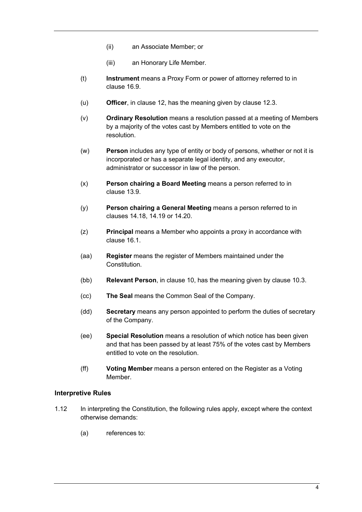- (ii) an Associate Member; or
- (iii) an Honorary Life Member.
- (t) **Instrument** means a Proxy Form or power of attorney referred to in clause [16.9.](#page-33-5)
- (u) **Officer**, in clause 12, has the meaning given by clause [12.3.](#page-23-5)
- (v) **Ordinary Resolution** means a resolution passed at a meeting of Members by a majority of the votes cast by Members entitled to vote on the resolution.
- (w) **Person** includes any type of entity or body of persons, whether or not it is incorporated or has a separate legal identity, and any executor, administrator or successor in law of the person.
- (x) **Person chairing a Board Meeting** means a person referred to in clause [13.9.](#page-25-5)
- (y) **Person chairing a General Meeting** means a person referred to in clauses [14.18,](#page-29-4) [14.19](#page-29-5) or [14.20.](#page-29-6)
- (z) **Principal** means a Member who appoints a proxy in accordance with clause [16.1.](#page-32-4)
- (aa) **Register** means the register of Members maintained under the Constitution.
- (bb) **Relevant Person**, in clause 10, has the meaning given by clause 10.3.
- (cc) **The Seal** means the Common Seal of the Company.
- (dd) **Secretary** means any person appointed to perform the duties of secretary of the Company.
- (ee) **Special Resolution** means a resolution of which notice has been given and that has been passed by at least 75% of the votes cast by Members entitled to vote on the resolution.
- (ff) **Voting Member** means a person entered on the Register as a Voting Member.

#### <span id="page-7-0"></span>**Interpretive Rules**

- 1.12 In interpreting the Constitution, the following rules apply, except where the context otherwise demands:
	- (a) references to: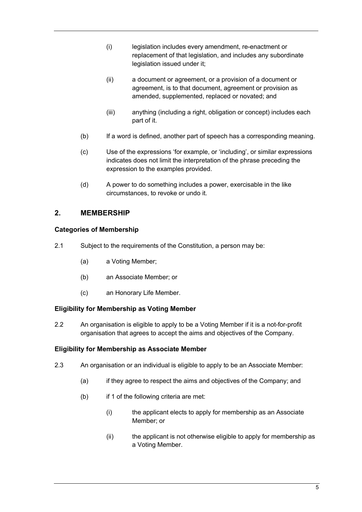- (i) legislation includes every amendment, re-enactment or replacement of that legislation, and includes any subordinate legislation issued under it;
- (ii) a document or agreement, or a provision of a document or agreement, is to that document, agreement or provision as amended, supplemented, replaced or novated; and
- (iii) anything (including a right, obligation or concept) includes each part of it.
- (b) If a word is defined, another part of speech has a corresponding meaning.
- (c) Use of the expressions 'for example, or 'including', or similar expressions indicates does not limit the interpretation of the phrase preceding the expression to the examples provided.
- (d) A power to do something includes a power, exercisable in the like circumstances, to revoke or undo it.

# <span id="page-8-0"></span>**2. MEMBERSHIP**

## <span id="page-8-1"></span>**Categories of Membership**

- 2.1 Subject to the requirements of the Constitution, a person may be:
	- (a) a Voting Member;
	- (b) an Associate Member; or
	- (c) an Honorary Life Member.

## <span id="page-8-2"></span>**Eligibility for Membership as Voting Member**

2.2 An organisation is eligible to apply to be a Voting Member if it is a not-for-profit organisation that agrees to accept the aims and objectives of the Company.

## <span id="page-8-3"></span>**Eligibility for Membership as Associate Member**

- 2.3 An organisation or an individual is eligible to apply to be an Associate Member:
	- (a) if they agree to respect the aims and objectives of the Company; and
	- (b) if 1 of the following criteria are met:
		- (i) the applicant elects to apply for membership as an Associate Member; or
		- (ii) the applicant is not otherwise eligible to apply for membership as a Voting Member.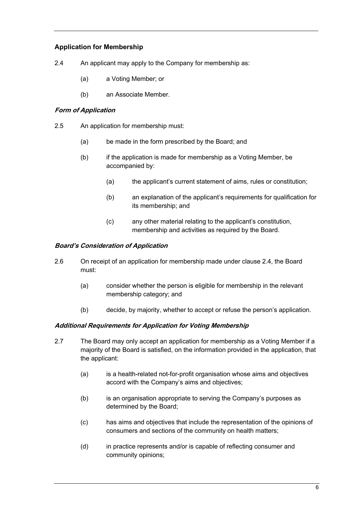## <span id="page-9-0"></span>**Application for Membership**

- <span id="page-9-1"></span>2.4 An applicant may apply to the Company for membership as:
	- (a) a Voting Member; or
	- (b) an Associate Member.

#### **Form of Application**

- 2.5 An application for membership must:
	- (a) be made in the form prescribed by the Board; and
	- (b) if the application is made for membership as a Voting Member, be accompanied by:
		- (a) the applicant's current statement of aims, rules or constitution;
		- (b) an explanation of the applicant's requirements for qualification for its membership; and
		- (c) any other material relating to the applicant's constitution, membership and activities as required by the Board.

#### **Board's Consideration of Application**

- 2.6 On receipt of an application for membership made under clause [2.4,](#page-9-1) the Board must:
	- (a) consider whether the person is eligible for membership in the relevant membership category; and
	- (b) decide, by majority, whether to accept or refuse the person's application.

## **Additional Requirements for Application for Voting Membership**

- <span id="page-9-2"></span>2.7 The Board may only accept an application for membership as a Voting Member if a majority of the Board is satisfied, on the information provided in the application, that the applicant:
	- (a) is a health-related not-for-profit organisation whose aims and objectives accord with the Company's aims and objectives;
	- (b) is an organisation appropriate to serving the Company's purposes as determined by the Board;
	- (c) has aims and objectives that include the representation of the opinions of consumers and sections of the community on health matters;
	- (d) in practice represents and/or is capable of reflecting consumer and community opinions;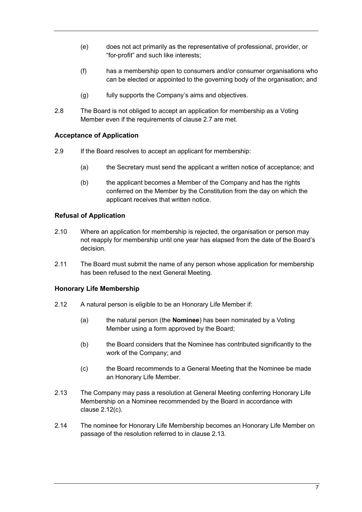- (e) does not act primarily as the representative of professional, provider, or "for-profit" and such like interests;
- (f) has a membership open to consumers and/or consumer organisations who can be elected or appointed to the governing body of the organisation; and
- (g) fully supports the Company's aims and objectives.
- 2.8 The Board is not obliged to accept an application for membership as a Voting Member even if the requirements of clause [2.7](#page-9-2) are met.

## <span id="page-10-0"></span>**Acceptance of Application**

- 2.9 If the Board resolves to accept an applicant for membership:
	- (a) the Secretary must send the applicant a written notice of acceptance; and
	- (b) the applicant becomes a Member of the Company and has the rights conferred on the Member by the Constitution from the day on which the applicant receives that written notice.

## <span id="page-10-1"></span>**Refusal of Application**

- 2.10 Where an application for membership is rejected, the organisation or person may not reapply for membership until one year has elapsed from the date of the Board's decision.
- 2.11 The Board must submit the name of any person whose application for membership has been refused to the next General Meeting.

## <span id="page-10-2"></span>**Honorary Life Membership**

- 2.12 A natural person is eligible to be an Honorary Life Member if:
	- (a) the natural person (the **Nominee**) has been nominated by a Voting Member using a form approved by the Board;
	- (b) the Board considers that the Nominee has contributed significantly to the work of the Company; and
	- (c) the Board recommends to a General Meeting that the Nominee be made an Honorary Life Member.
- <span id="page-10-4"></span><span id="page-10-3"></span>2.13 The Company may pass a resolution at General Meeting conferring Honorary Life Membership on a Nominee recommended by the Board in accordance with clause [2.12\(c\).](#page-10-3)
- 2.14 The nominee for Honorary Life Membership becomes an Honorary Life Member on passage of the resolution referred to in clause [2.13.](#page-10-4)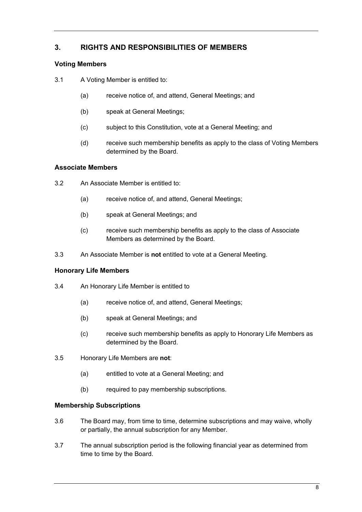# <span id="page-11-0"></span>**3. RIGHTS AND RESPONSIBILITIES OF MEMBERS**

## <span id="page-11-1"></span>**Voting Members**

- 3.1 A Voting Member is entitled to:
	- (a) receive notice of, and attend, General Meetings; and
	- (b) speak at General Meetings;
	- (c) subject to this Constitution, vote at a General Meeting; and
	- (d) receive such membership benefits as apply to the class of Voting Members determined by the Board.

## <span id="page-11-2"></span>**Associate Members**

- 3.2 An Associate Member is entitled to:
	- (a) receive notice of, and attend, General Meetings;
	- (b) speak at General Meetings; and
	- (c) receive such membership benefits as apply to the class of Associate Members as determined by the Board.
- 3.3 An Associate Member is **not** entitled to vote at a General Meeting.

## <span id="page-11-3"></span>**Honorary Life Members**

- 3.4 An Honorary Life Member is entitled to
	- (a) receive notice of, and attend, General Meetings;
	- (b) speak at General Meetings; and
	- (c) receive such membership benefits as apply to Honorary Life Members as determined by the Board.
- 3.5 Honorary Life Members are **not**:
	- (a) entitled to vote at a General Meeting; and
	- (b) required to pay membership subscriptions.

## <span id="page-11-4"></span>**Membership Subscriptions**

- 3.6 The Board may, from time to time, determine subscriptions and may waive, wholly or partially, the annual subscription for any Member.
- 3.7 The annual subscription period is the following financial year as determined from time to time by the Board.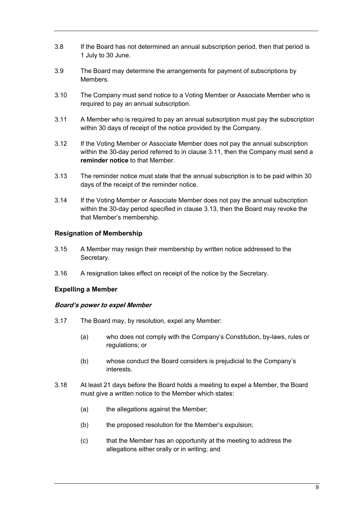- 3.8 If the Board has not determined an annual subscription period, then that period is 1 July to 30 June.
- 3.9 The Board may determine the arrangements for payment of subscriptions by Members.
- 3.10 The Company must send notice to a Voting Member or Associate Member who is required to pay an annual subscription.
- <span id="page-12-2"></span>3.11 A Member who is required to pay an annual subscription must pay the subscription within 30 days of receipt of the notice provided by the Company.
- 3.12 If the Voting Member or Associate Member does not pay the annual subscription within the 30-day period referred to in clause [3.11,](#page-12-2) then the Company must send a **reminder notice** to that Member.
- <span id="page-12-3"></span>3.13 The reminder notice must state that the annual subscription is to be paid within 30 days of the receipt of the reminder notice.
- <span id="page-12-5"></span>3.14 If the Voting Member or Associate Member does not pay the annual subscription within the 30-day period specified in clause [3.13,](#page-12-3) then the Board may revoke the that Member's membership.

## <span id="page-12-0"></span>**Resignation of Membership**

- <span id="page-12-4"></span>3.15 A Member may resign their membership by written notice addressed to the Secretary.
- 3.16 A resignation takes effect on receipt of the notice by the Secretary.

## <span id="page-12-1"></span>**Expelling a Member**

## **Board's power to expel Member**

- 3.17 The Board may, by resolution, expel any Member:
	- (a) who does not comply with the Company's Constitution, by-laws, rules or regulations; or
	- (b) whose conduct the Board considers is prejudicial to the Company's interests.
- 3.18 At least 21 days before the Board holds a meeting to expel a Member, the Board must give a written notice to the Member which states:
	- (a) the allegations against the Member;
	- (b) the proposed resolution for the Member's expulsion;
	- (c) that the Member has an opportunity at the meeting to address the allegations either orally or in writing; and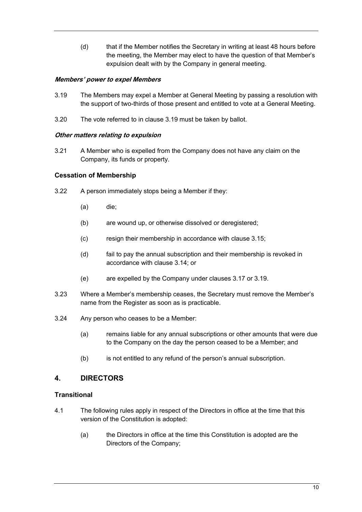<span id="page-13-3"></span>(d) that if the Member notifies the Secretary in writing at least 48 hours before the meeting, the Member may elect to have the question of that Member's expulsion dealt with by the Company in general meeting.

## **Members' power to expel Members**

- 3.19 The Members may expel a Member at General Meeting by passing a resolution with the support of two-thirds of those present and entitled to vote at a General Meeting.
- 3.20 The vote referred to in clause [3.19](#page-13-3) must be taken by ballot.

## **Other matters relating to expulsion**

3.21 A Member who is expelled from the Company does not have any claim on the Company, its funds or property.

## <span id="page-13-0"></span>**Cessation of Membership**

- 3.22 A person immediately stops being a Member if they:
	- (a) die;
	- (b) are wound up, or otherwise dissolved or deregistered;
	- (c) resign their membership in accordance with clause [3.15;](#page-12-4)
	- (d) fail to pay the annual subscription and their membership is revoked in accordance with clause [3.14;](#page-12-5) or
	- (e) are expelled by the Company under clauses 3.17 or 3.19.
- 3.23 Where a Member's membership ceases, the Secretary must remove the Member's name from the Register as soon as is practicable.
- 3.24 Any person who ceases to be a Member:
	- (a) remains liable for any annual subscriptions or other amounts that were due to the Company on the day the person ceased to be a Member; and
	- (b) is not entitled to any refund of the person's annual subscription.

## <span id="page-13-1"></span>**4. DIRECTORS**

## <span id="page-13-2"></span>**Transitional**

- 4.1 The following rules apply in respect of the Directors in office at the time that this version of the Constitution is adopted:
	- (a) the Directors in office at the time this Constitution is adopted are the Directors of the Company;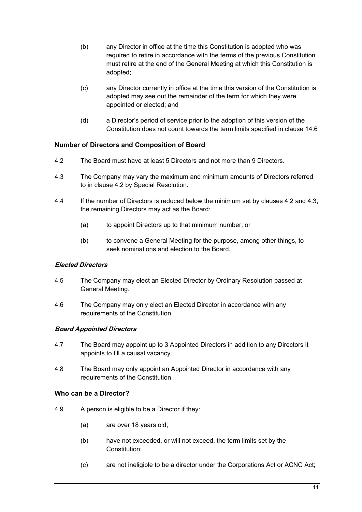- (b) any Director in office at the time this Constitution is adopted who was required to retire in accordance with the terms of the previous Constitution must retire at the end of the General Meeting at which this Constitution is adopted;
- (c) any Director currently in office at the time this version of the Constitution is adopted may see out the remainder of the term for which they were appointed or elected; and
- (d) a Director's period of service prior to the adoption of this version of the Constitution does not count towards the term limits specified in clause 14.6

## <span id="page-14-0"></span>**Number of Directors and Composition of Board**

- <span id="page-14-2"></span>4.2 The Board must have at least 5 Directors and not more than 9 Directors.
- <span id="page-14-3"></span>4.3 The Company may vary the maximum and minimum amounts of Directors referred to in clause [4.2](#page-14-2) by Special Resolution.
- 4.4 If the number of Directors is reduced below the minimum set by clauses [4.2](#page-14-2) and [4.3,](#page-14-3) the remaining Directors may act as the Board:
	- (a) to appoint Directors up to that minimum number; or
	- (b) to convene a General Meeting for the purpose, among other things, to seek nominations and election to the Board

## **Elected Directors**

- 4.5 The Company may elect an Elected Director by Ordinary Resolution passed at General Meeting.
- 4.6 The Company may only elect an Elected Director in accordance with any requirements of the Constitution.

## **Board Appointed Directors**

- 4.7 The Board may appoint up to 3 Appointed Directors in addition to any Directors it appoints to fill a causal vacancy.
- 4.8 The Board may only appoint an Appointed Director in accordance with any requirements of the Constitution.

## <span id="page-14-1"></span>**Who can be a Director?**

- <span id="page-14-4"></span>4.9 A person is eligible to be a Director if they:
	- (a) are over 18 years old;
	- (b) have not exceeded, or will not exceed, the term limits set by the Constitution;
	- (c) are not ineligible to be a director under the Corporations Act or ACNC Act;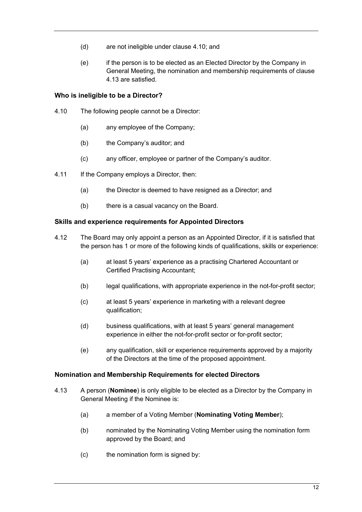- (d) are not ineligible under clause [4.10;](#page-15-3) and
- (e) if the person is to be elected as an Elected Director by the Company in General Meeting, the nomination and membership requirements of clause [4.13](#page-15-4) are satisfied.

## <span id="page-15-0"></span>**Who is ineligible to be a Director?**

- <span id="page-15-3"></span>4.10 The following people cannot be a Director:
	- (a) any employee of the Company;
	- (b) the Company's auditor; and
	- (c) any officer, employee or partner of the Company's auditor.
- 4.11 If the Company employs a Director, then:
	- (a) the Director is deemed to have resigned as a Director; and
	- (b) there is a casual vacancy on the Board.

## <span id="page-15-1"></span>**Skills and experience requirements for Appointed Directors**

- 4.12 The Board may only appoint a person as an Appointed Director, if it is satisfied that the person has 1 or more of the following kinds of qualifications, skills or experience:
	- (a) at least 5 years' experience as a practising Chartered Accountant or Certified Practising Accountant;
	- (b) legal qualifications, with appropriate experience in the not-for-profit sector;
	- (c) at least 5 years' experience in marketing with a relevant degree qualification;
	- (d) business qualifications, with at least 5 years' general management experience in either the not-for-profit sector or for-profit sector;
	- (e) any qualification, skill or experience requirements approved by a majority of the Directors at the time of the proposed appointment.

## <span id="page-15-2"></span>**Nomination and Membership Requirements for elected Directors**

- <span id="page-15-4"></span>4.13 A person (**Nominee**) is only eligible to be elected as a Director by the Company in General Meeting if the Nominee is:
	- (a) a member of a Voting Member (**Nominating Voting Member**);
	- (b) nominated by the Nominating Voting Member using the nomination form approved by the Board; and
	- (c) the nomination form is signed by: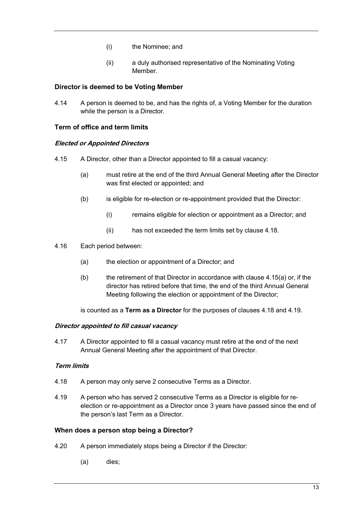- (i) the Nominee; and
- (ii) a duly authorised representative of the Nominating Voting Member.

## <span id="page-16-0"></span>**Director is deemed to be Voting Member**

4.14 A person is deemed to be, and has the rights of, a Voting Member for the duration while the person is a Director.

## <span id="page-16-1"></span>**Term of office and term limits**

## **Elected or Appointed Directors**

- <span id="page-16-4"></span>4.15 A Director, other than a Director appointed to fill a casual vacancy:
	- (a) must retire at the end of the third Annual General Meeting after the Director was first elected or appointed; and
	- (b) is eligible for re-election or re-appointment provided that the Director:
		- (i) remains eligible for election or appointment as a Director; and
		- (ii) has not exceeded the term limits set by claus[e 4.18.](#page-16-3)
- 4.16 Each period between:
	- (a) the election or appointment of a Director; and
	- (b) the retirement of that Director in accordance with clause [4.15\(a\)](#page-16-4) or, if the director has retired before that time, the end of the third Annual General Meeting following the election or appointment of the Director;

is counted as a **Term as a Director** for the purposes of clauses [4.18](#page-16-3) and [4.19.](#page-16-5)

## **Director appointed to fill casual vacancy**

4.17 A Director appointed to fill a casual vacancy must retire at the end of the next Annual General Meeting after the appointment of that Director.

## **Term limits**

- <span id="page-16-3"></span>4.18 A person may only serve 2 consecutive Terms as a Director.
- <span id="page-16-5"></span>4.19 A person who has served 2 consecutive Terms as a Director is eligible for reelection or re-appointment as a Director once 3 years have passed since the end of the person's last Term as a Director.

## <span id="page-16-2"></span>**When does a person stop being a Director?**

- 4.20 A person immediately stops being a Director if the Director:
	- (a) dies;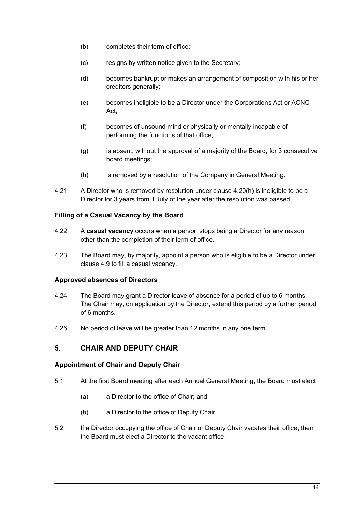- (b) completes their term of office;
- (c) resigns by written notice given to the Secretary;
- (d) becomes bankrupt or makes an arrangement of composition with his or her creditors generally;
- (e) becomes ineligible to be a Director under the Corporations Act or ACNC Act<sup>-</sup>
- (f) becomes of unsound mind or physically or mentally incapable of performing the functions of that office;
- $(q)$  is absent, without the approval of a majority of the Board, for 3 consecutive board meetings;
- (h) is removed by a resolution of the Company in General Meeting.
- <span id="page-17-4"></span>4.21 A Director who is removed by resolution under clause [4.20\(h\)](#page-17-4) is ineligible to be a Director for 3 years from 1 July of the year after the resolution was passed.

## <span id="page-17-0"></span>**Filling of a Casual Vacancy by the Board**

- 4.22 A **casual vacancy** occurs when a person stops being a Director for any reason other than the completion of their term of office.
- 4.23 The Board may, by majority, appoint a person who is eligible to be a Director under clause [4.9](#page-14-4) to fill a casual vacancy.

#### <span id="page-17-1"></span>**Approved absences of Directors**

- 4.24 The Board may grant a Director leave of absence for a period of up to 6 months. The Chair may, on application by the Director, extend this period by a further period of 6 months.
- 4.25 No period of leave will be greater than 12 months in any one term

## <span id="page-17-2"></span>**5. CHAIR AND DEPUTY CHAIR**

#### <span id="page-17-3"></span>**Appointment of Chair and Deputy Chair**

- 5.1 At the first Board meeting after each Annual General Meeting, the Board must elect
	- (a) a Director to the office of Chair; and
	- (b) a Director to the office of Deputy Chair.
- 5.2 If a Director occupying the office of Chair or Deputy Chair vacates their office, then the Board must elect a Director to the vacant office.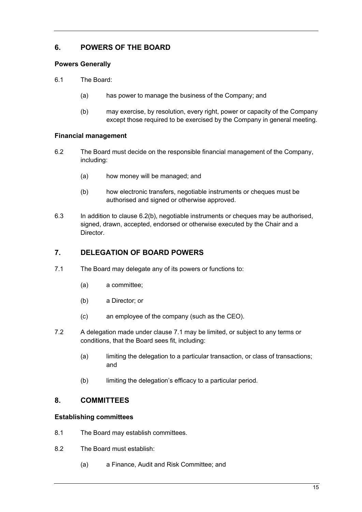# <span id="page-18-0"></span>**6. POWERS OF THE BOARD**

## <span id="page-18-1"></span>**Powers Generally**

- 6.1 The Board:
	- (a) has power to manage the business of the Company; and
	- (b) may exercise, by resolution, every right, power or capacity of the Company except those required to be exercised by the Company in general meeting.

## <span id="page-18-2"></span>**Financial management**

- 6.2 The Board must decide on the responsible financial management of the Company, including:
	- (a) how money will be managed; and
	- (b) how electronic transfers, negotiable instruments or cheques must be authorised and signed or otherwise approved.
- <span id="page-18-6"></span>6.3 In addition to clause [6.2\(b\),](#page-18-6) negotiable instruments or cheques may be authorised, signed, drawn, accepted, endorsed or otherwise executed by the Chair and a **Director**

# <span id="page-18-3"></span>**7. DELEGATION OF BOARD POWERS**

- <span id="page-18-7"></span>7.1 The Board may delegate any of its powers or functions to:
	- (a) a committee;
	- (b) a Director; or
	- (c) an employee of the company (such as the CEO).
- 7.2 A delegation made under clause [7.1](#page-18-7) may be limited, or subject to any terms or conditions, that the Board sees fit, including:
	- (a) limiting the delegation to a particular transaction, or class of transactions; and
	- (b) limiting the delegation's efficacy to a particular period.

## <span id="page-18-4"></span>**8. COMMITTEES**

## <span id="page-18-5"></span>**Establishing committees**

- 8.1 The Board may establish committees.
- 8.2 The Board must establish:
	- (a) a Finance, Audit and Risk Committee; and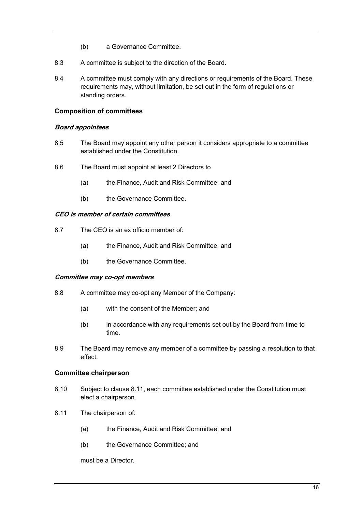- (b) a Governance Committee.
- 8.3 A committee is subject to the direction of the Board.
- 8.4 A committee must comply with any directions or requirements of the Board. These requirements may, without limitation, be set out in the form of regulations or standing orders.

#### <span id="page-19-0"></span>**Composition of committees**

#### **Board appointees**

- 8.5 The Board may appoint any other person it considers appropriate to a committee established under the Constitution.
- 8.6 The Board must appoint at least 2 Directors to
	- (a) the Finance, Audit and Risk Committee; and
	- (b) the Governance Committee.

#### **CEO is member of certain committees**

- 8.7 The CEO is an ex officio member of:
	- (a) the Finance, Audit and Risk Committee; and
	- (b) the Governance Committee.

#### **Committee may co-opt members**

- 8.8 A committee may co-opt any Member of the Company:
	- (a) with the consent of the Member; and
	- (b) in accordance with any requirements set out by the Board from time to time.
- 8.9 The Board may remove any member of a committee by passing a resolution to that effect.

## <span id="page-19-1"></span>**Committee chairperson**

- 8.10 Subject to clause [8.11,](#page-19-2) each committee established under the Constitution must elect a chairperson.
- <span id="page-19-2"></span>8.11 The chairperson of:
	- (a) the Finance, Audit and Risk Committee; and
	- (b) the Governance Committee; and

must be a Director.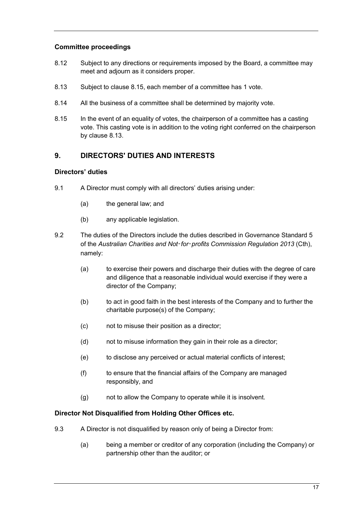## <span id="page-20-0"></span>**Committee proceedings**

- 8.12 Subject to any directions or requirements imposed by the Board, a committee may meet and adjourn as it considers proper.
- <span id="page-20-5"></span>8.13 Subject to clause [8.15,](#page-20-4) each member of a committee has 1 vote.
- 8.14 All the business of a committee shall be determined by majority vote.
- <span id="page-20-4"></span>8.15 In the event of an equality of votes, the chairperson of a committee has a casting vote. This casting vote is in addition to the voting right conferred on the chairperson by claus[e 8.13.](#page-20-5)

# <span id="page-20-1"></span>**9. DIRECTORS' DUTIES AND INTERESTS**

## <span id="page-20-2"></span>**Directors' duties**

- 9.1 A Director must comply with all directors' duties arising under:
	- (a) the general law; and
	- (b) any applicable legislation.
- 9.2 The duties of the Directors include the duties described in Governance Standard 5 of the *Australian Charities and Not*‑*for*‑*profits Commission Regulation 2013* (Cth), namely:
	- (a) to exercise their powers and discharge their duties with the degree of care and diligence that a reasonable individual would exercise if they were a director of the Company;
	- (b) to act in good faith in the best interests of the Company and to further the charitable purpose(s) of the Company;
	- (c) not to misuse their position as a director;
	- (d) not to misuse information they gain in their role as a director;
	- (e) to disclose any perceived or actual material conflicts of interest;
	- (f) to ensure that the financial affairs of the Company are managed responsibly, and
	- (g) not to allow the Company to operate while it is insolvent.

## <span id="page-20-3"></span>**Director Not Disqualified from Holding Other Offices etc.**

- 9.3 A Director is not disqualified by reason only of being a Director from:
	- (a) being a member or creditor of any corporation (including the Company) or partnership other than the auditor; or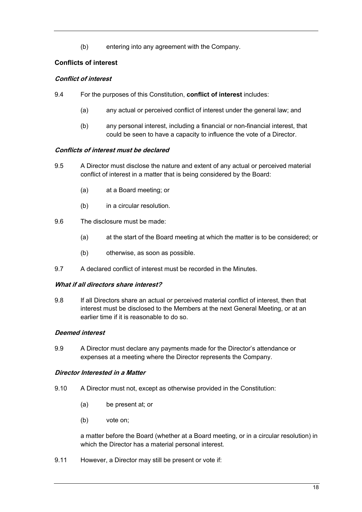(b) entering into any agreement with the Company.

# <span id="page-21-0"></span>**Conflicts of interest**

## **Conflict of interest**

- 9.4 For the purposes of this Constitution, **conflict of interest** includes:
	- (a) any actual or perceived conflict of interest under the general law; and
	- (b) any personal interest, including a financial or non-financial interest, that could be seen to have a capacity to influence the vote of a Director.

## **Conflicts of interest must be declared**

- 9.5 A Director must disclose the nature and extent of any actual or perceived material conflict of interest in a matter that is being considered by the Board:
	- (a) at a Board meeting; or
	- (b) in a circular resolution.
- 9.6 The disclosure must be made:
	- (a) at the start of the Board meeting at which the matter is to be considered; or
	- (b) otherwise, as soon as possible.
- 9.7 A declared conflict of interest must be recorded in the Minutes.

## **What if all directors share interest?**

9.8 If all Directors share an actual or perceived material conflict of interest, then that interest must be disclosed to the Members at the next General Meeting, or at an earlier time if it is reasonable to do so.

## **Deemed interest**

9.9 A Director must declare any payments made for the Director's attendance or expenses at a meeting where the Director represents the Company.

## **Director Interested in a Matter**

- 9.10 A Director must not, except as otherwise provided in the Constitution:
	- (a) be present at; or
	- (b) vote on;

a matter before the Board (whether at a Board meeting, or in a circular resolution) in which the Director has a material personal interest.

9.11 However, a Director may still be present or vote if: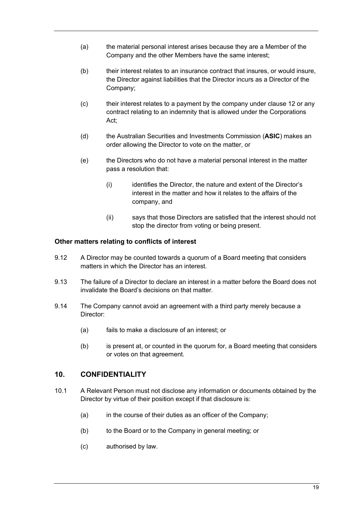- (a) the material personal interest arises because they are a Member of the Company and the other Members have the same interest;
- (b) their interest relates to an insurance contract that insures, or would insure, the Director against liabilities that the Director incurs as a Director of the Company;
- (c) their interest relates to a payment by the company under claus[e 12](#page-23-3) or any contract relating to an indemnity that is allowed under the Corporations Act;
- (d) the Australian Securities and Investments Commission (**ASIC**) makes an order allowing the Director to vote on the matter, or
- (e) the Directors who do not have a material personal interest in the matter pass a resolution that:
	- (i) identifies the Director, the nature and extent of the Director's interest in the matter and how it relates to the affairs of the company, and
	- (ii) says that those Directors are satisfied that the interest should not stop the director from voting or being present.

## <span id="page-22-0"></span>**Other matters relating to conflicts of interest**

- 9.12 A Director may be counted towards a quorum of a Board meeting that considers matters in which the Director has an interest.
- 9.13 The failure of a Director to declare an interest in a matter before the Board does not invalidate the Board's decisions on that matter.
- 9.14 The Company cannot avoid an agreement with a third party merely because a Director:
	- (a) fails to make a disclosure of an interest; or
	- (b) is present at, or counted in the quorum for, a Board meeting that considers or votes on that agreement.

## <span id="page-22-1"></span>**10. CONFIDENTIALITY**

- <span id="page-22-2"></span>10.1 A Relevant Person must not disclose any information or documents obtained by the Director by virtue of their position except if that disclosure is:
	- (a) in the course of their duties as an officer of the Company;
	- (b) to the Board or to the Company in general meeting; or
	- (c) authorised by law.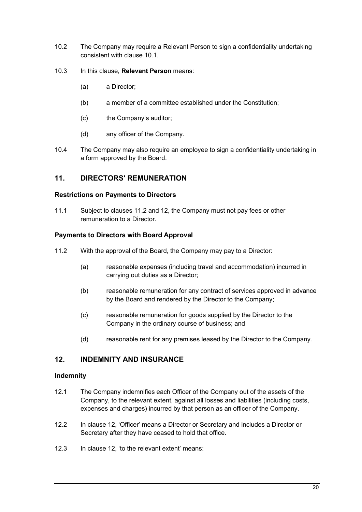- 10.2 The Company may require a Relevant Person to sign a confidentiality undertaking consistent with clause [10.1.](#page-22-2)
- 10.3 In this clause, **Relevant Person** means:
	- (a) a Director;
	- (b) a member of a committee established under the Constitution;
	- (c) the Company's auditor;
	- (d) any officer of the Company.
- 10.4 The Company may also require an employee to sign a confidentiality undertaking in a form approved by the Board.

# <span id="page-23-0"></span>**11. DIRECTORS' REMUNERATION**

## <span id="page-23-1"></span>**Restrictions on Payments to Directors**

11.1 Subject to clauses [11.2](#page-23-6) and [12,](#page-23-3) the Company must not pay fees or other remuneration to a Director.

## <span id="page-23-2"></span>**Payments to Directors with Board Approval**

- <span id="page-23-6"></span>11.2 With the approval of the Board, the Company may pay to a Director:
	- (a) reasonable expenses (including travel and accommodation) incurred in carrying out duties as a Director;
	- (b) reasonable remuneration for any contract of services approved in advance by the Board and rendered by the Director to the Company;
	- (c) reasonable remuneration for goods supplied by the Director to the Company in the ordinary course of business; and
	- (d) reasonable rent for any premises leased by the Director to the Company.

## <span id="page-23-3"></span>**12. INDEMNITY AND INSURANCE**

## <span id="page-23-4"></span>**Indemnity**

- <span id="page-23-7"></span>12.1 The Company indemnifies each Officer of the Company out of the assets of the Company, to the relevant extent, against all losses and liabilities (including costs, expenses and charges) incurred by that person as an officer of the Company.
- 12.2 In clause [12,](#page-23-3) 'Officer' means a Director or Secretary and includes a Director or Secretary after they have ceased to hold that office.
- <span id="page-23-5"></span>12.3 In clause [12,](#page-23-3) 'to the relevant extent' means: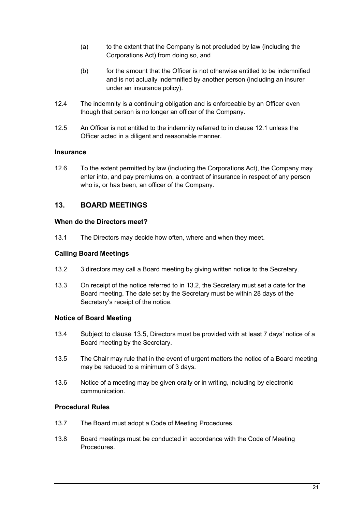- (a) to the extent that the Company is not precluded by law (including the Corporations Act) from doing so, and
- (b) for the amount that the Officer is not otherwise entitled to be indemnified and is not actually indemnified by another person (including an insurer under an insurance policy).
- 12.4 The indemnity is a continuing obligation and is enforceable by an Officer even though that person is no longer an officer of the Company.
- 12.5 An Officer is not entitled to the indemnity referred to in clause [12.1](#page-23-7) unless the Officer acted in a diligent and reasonable manner.

## <span id="page-24-0"></span>**Insurance**

12.6 To the extent permitted by law (including the Corporations Act), the Company may enter into, and pay premiums on, a contract of insurance in respect of any person who is, or has been, an officer of the Company.

# <span id="page-24-1"></span>**13. BOARD MEETINGS**

## <span id="page-24-2"></span>**When do the Directors meet?**

13.1 The Directors may decide how often, where and when they meet.

## <span id="page-24-3"></span>**Calling Board Meetings**

- <span id="page-24-6"></span>13.2 3 directors may call a Board meeting by giving written notice to the Secretary.
- 13.3 On receipt of the notice referred to in [13.2,](#page-24-6) the Secretary must set a date for the Board meeting. The date set by the Secretary must be within 28 days of the Secretary's receipt of the notice.

## <span id="page-24-4"></span>**Notice of Board Meeting**

- 13.4 Subject to clause [13.5,](#page-24-7) Directors must be provided with at least 7 days' notice of a Board meeting by the Secretary.
- <span id="page-24-7"></span>13.5 The Chair may rule that in the event of urgent matters the notice of a Board meeting may be reduced to a minimum of 3 days.
- 13.6 Notice of a meeting may be given orally or in writing, including by electronic communication.

## <span id="page-24-5"></span>**Procedural Rules**

- 13.7 The Board must adopt a Code of Meeting Procedures.
- 13.8 Board meetings must be conducted in accordance with the Code of Meeting **Procedures**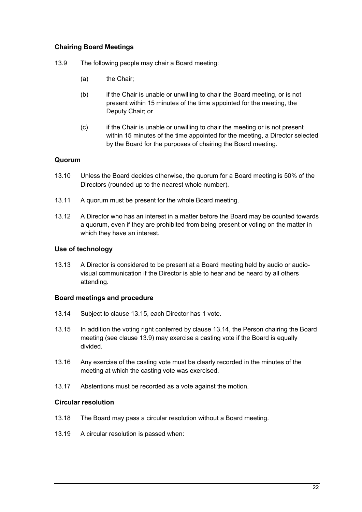## <span id="page-25-0"></span>**Chairing Board Meetings**

- <span id="page-25-5"></span>13.9 The following people may chair a Board meeting:
	- (a) the Chair;
	- (b) if the Chair is unable or unwilling to chair the Board meeting, or is not present within 15 minutes of the time appointed for the meeting, the Deputy Chair; or
	- (c) if the Chair is unable or unwilling to chair the meeting or is not present within 15 minutes of the time appointed for the meeting, a Director selected by the Board for the purposes of chairing the Board meeting.

## <span id="page-25-1"></span>**Quorum**

- <span id="page-25-8"></span>13.10 Unless the Board decides otherwise, the quorum for a Board meeting is 50% of the Directors (rounded up to the nearest whole number).
- 13.11 A quorum must be present for the whole Board meeting.
- 13.12 A Director who has an interest in a matter before the Board may be counted towards a quorum, even if they are prohibited from being present or voting on the matter in which they have an interest.

#### <span id="page-25-2"></span>**Use of technology**

13.13 A Director is considered to be present at a Board meeting held by audio or audiovisual communication if the Director is able to hear and be heard by all others attending.

## <span id="page-25-3"></span>**Board meetings and procedure**

- <span id="page-25-7"></span>13.14 Subject to clause [13.15,](#page-25-6) each Director has 1 vote.
- <span id="page-25-6"></span>13.15 In addition the voting right conferred by clause [13.14,](#page-25-7) the Person chairing the Board meeting (see clause [13.9\)](#page-25-5) may exercise a casting vote if the Board is equally divided.
- 13.16 Any exercise of the casting vote must be clearly recorded in the minutes of the meeting at which the casting vote was exercised.
- 13.17 Abstentions must be recorded as a vote against the motion.

#### <span id="page-25-4"></span>**Circular resolution**

- 13.18 The Board may pass a circular resolution without a Board meeting.
- 13.19 A circular resolution is passed when: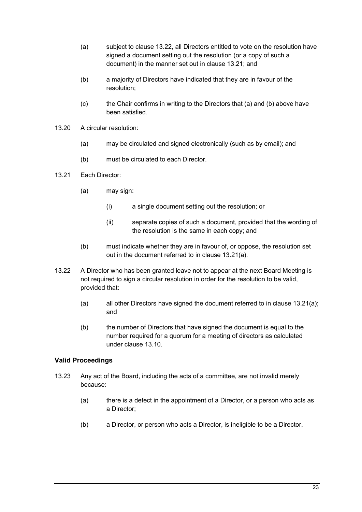- (a) subject to clause [13.22,](#page-26-1) all Directors entitled to vote on the resolution have signed a document setting out the resolution (or a copy of such a document) in the manner set out in clause [13.21;](#page-26-2) and
- (b) a majority of Directors have indicated that they are in favour of the resolution;
- (c) the Chair confirms in writing to the Directors that (a) and (b) above have been satisfied.
- 13.20 A circular resolution:
	- (a) may be circulated and signed electronically (such as by email); and
	- (b) must be circulated to each Director.
- <span id="page-26-3"></span><span id="page-26-2"></span>13.21 Each Director:
	- (a) may sign:
		- (i) a single document setting out the resolution; or
		- (ii) separate copies of such a document, provided that the wording of the resolution is the same in each copy; and
	- (b) must indicate whether they are in favour of, or oppose, the resolution set out in the document referred to in clause [13.21\(a\).](#page-26-3)
- <span id="page-26-1"></span>13.22 A Director who has been granted leave not to appear at the next Board Meeting is not required to sign a circular resolution in order for the resolution to be valid, provided that:
	- (a) all other Directors have signed the document referred to in clause [13.21\(a\);](#page-26-3) and
	- (b) the number of Directors that have signed the document is equal to the number required for a quorum for a meeting of directors as calculated under clause [13.10.](#page-25-8)

## <span id="page-26-0"></span>**Valid Proceedings**

- 13.23 Any act of the Board, including the acts of a committee, are not invalid merely because:
	- (a) there is a defect in the appointment of a Director, or a person who acts as a Director;
	- (b) a Director, or person who acts a Director, is ineligible to be a Director.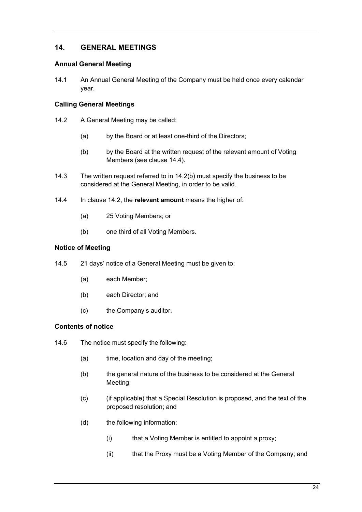# <span id="page-27-0"></span>**14. GENERAL MEETINGS**

## <span id="page-27-1"></span>**Annual General Meeting**

<span id="page-27-5"></span>14.1 An Annual General Meeting of the Company must be held once every calendar year.

## <span id="page-27-2"></span>**Calling General Meetings**

- <span id="page-27-8"></span><span id="page-27-7"></span>14.2 A General Meeting may be called:
	- (a) by the Board or at least one-third of the Directors;
	- (b) by the Board at the written request of the relevant amount of Voting Members (see clause [14.4\)](#page-27-6).
- 14.3 The written request referred to in [14.2\(b\)](#page-27-7) must specify the business to be considered at the General Meeting, in order to be valid.
- <span id="page-27-6"></span>14.4 In clause [14.2,](#page-27-8) the **relevant amount** means the higher of:
	- (a) 25 Voting Members; or
	- (b) one third of all Voting Members.

## <span id="page-27-3"></span>**Notice of Meeting**

- 14.5 21 days' notice of a General Meeting must be given to:
	- (a) each Member;
	- (b) each Director; and
	- (c) the Company's auditor.

## <span id="page-27-4"></span>**Contents of notice**

- 14.6 The notice must specify the following:
	- $(a)$  time, location and day of the meeting;
	- (b) the general nature of the business to be considered at the General Meeting;
	- (c) (if applicable) that a Special Resolution is proposed, and the text of the proposed resolution; and
	- (d) the following information:
		- (i) that a Voting Member is entitled to appoint a proxy;
		- (ii) that the Proxy must be a Voting Member of the Company; and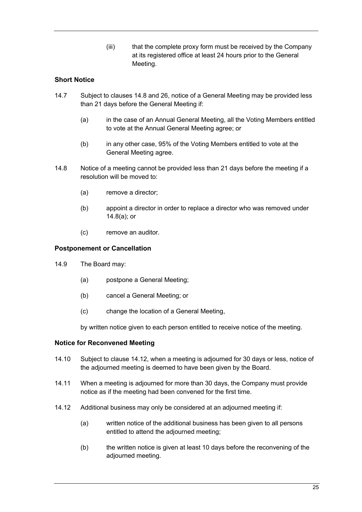(iii) that the complete proxy form must be received by the Company at its registered office at least 24 hours prior to the General Meeting.

## <span id="page-28-0"></span>**Short Notice**

- 14.7 Subject to clauses [14.8](#page-28-3) and [26,](#page-42-0) notice of a General Meeting may be provided less than 21 days before the General Meeting if:
	- (a) in the case of an Annual General Meeting, all the Voting Members entitled to vote at the Annual General Meeting agree; or
	- (b) in any other case, 95% of the Voting Members entitled to vote at the General Meeting agree.
- <span id="page-28-4"></span><span id="page-28-3"></span>14.8 Notice of a meeting cannot be provided less than 21 days before the meeting if a resolution will be moved to:
	- (a) remove a director;
	- (b) appoint a director in order to replace a director who was removed under [14.8\(a\);](#page-28-4) or
	- (c) remove an auditor.

#### <span id="page-28-1"></span>**Postponement or Cancellation**

- 14.9 The Board may:
	- (a) postpone a General Meeting;
	- (b) cancel a General Meeting; or
	- (c) change the location of a General Meeting,

by written notice given to each person entitled to receive notice of the meeting.

#### <span id="page-28-2"></span>**Notice for Reconvened Meeting**

- 14.10 Subject to clause [14.12,](#page-28-5) when a meeting is adjourned for 30 days or less, notice of the adjourned meeting is deemed to have been given by the Board.
- 14.11 When a meeting is adjourned for more than 30 days, the Company must provide notice as if the meeting had been convened for the first time.
- <span id="page-28-5"></span>14.12 Additional business may only be considered at an adjourned meeting if:
	- (a) written notice of the additional business has been given to all persons entitled to attend the adjourned meeting;
	- (b) the written notice is given at least 10 days before the reconvening of the adjourned meeting.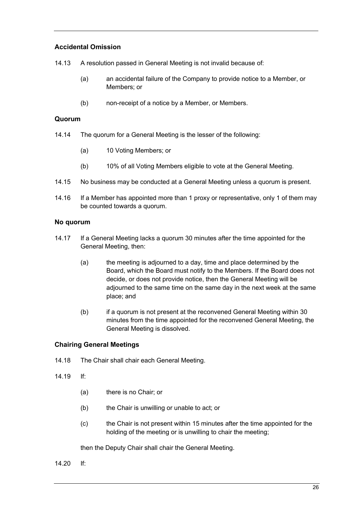## <span id="page-29-0"></span>**Accidental Omission**

14.13 A resolution passed in General Meeting is not invalid because of:

- (a) an accidental failure of the Company to provide notice to a Member, or Members; or
- (b) non-receipt of a notice by a Member, or Members.

## <span id="page-29-1"></span>**Quorum**

- 14.14 The quorum for a General Meeting is the lesser of the following:
	- (a) 10 Voting Members; or
	- (b) 10% of all Voting Members eligible to vote at the General Meeting.
- 14.15 No business may be conducted at a General Meeting unless a quorum is present.
- 14.16 If a Member has appointed more than 1 proxy or representative, only 1 of them may be counted towards a quorum.

#### <span id="page-29-2"></span>**No quorum**

- 14.17 If a General Meeting lacks a quorum 30 minutes after the time appointed for the General Meeting, then:
	- (a) the meeting is adjourned to a day, time and place determined by the Board, which the Board must notify to the Members. If the Board does not decide, or does not provide notice, then the General Meeting will be adjourned to the same time on the same day in the next week at the same place; and
	- (b) if a quorum is not present at the reconvened General Meeting within 30 minutes from the time appointed for the reconvened General Meeting, the General Meeting is dissolved.

## <span id="page-29-3"></span>**Chairing General Meetings**

- <span id="page-29-4"></span>14.18 The Chair shall chair each General Meeting.
- <span id="page-29-5"></span>14.19 If:
	- (a) there is no Chair; or
	- (b) the Chair is unwilling or unable to act; or
	- (c) the Chair is not present within 15 minutes after the time appointed for the holding of the meeting or is unwilling to chair the meeting;

then the Deputy Chair shall chair the General Meeting.

<span id="page-29-6"></span>14.20 If: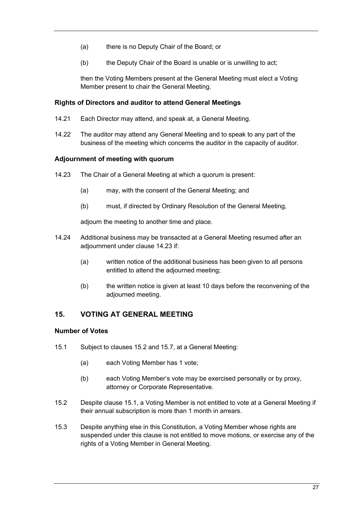- (a) there is no Deputy Chair of the Board; or
- (b) the Deputy Chair of the Board is unable or is unwilling to act;

then the Voting Members present at the General Meeting must elect a Voting Member present to chair the General Meeting.

## <span id="page-30-0"></span>**Rights of Directors and auditor to attend General Meetings**

- 14.21 Each Director may attend, and speak at, a General Meeting.
- 14.22 The auditor may attend any General Meeting and to speak to any part of the business of the meeting which concerns the auditor in the capacity of auditor.

## <span id="page-30-1"></span>**Adjournment of meeting with quorum**

- <span id="page-30-4"></span>14.23 The Chair of a General Meeting at which a quorum is present:
	- (a) may, with the consent of the General Meeting; and
	- (b) must, if directed by Ordinary Resolution of the General Meeting,

adjourn the meeting to another time and place.

- 14.24 Additional business may be transacted at a General Meeting resumed after an adjournment under claus[e 14.23](#page-30-4) if:
	- (a) written notice of the additional business has been given to all persons entitled to attend the adjourned meeting;
	- (b) the written notice is given at least 10 days before the reconvening of the adjourned meeting.

## <span id="page-30-2"></span>**15. VOTING AT GENERAL MEETING**

## <span id="page-30-3"></span>**Number of Votes**

- <span id="page-30-6"></span>15.1 Subject to clauses [15.2](#page-30-5) and [15.7,](#page-31-4) at a General Meeting:
	- (a) each Voting Member has 1 vote;
	- (b) each Voting Member's vote may be exercised personally or by proxy, attorney or Corporate Representative.
- <span id="page-30-5"></span>15.2 Despite clause [15.1,](#page-30-6) a Voting Member is not entitled to vote at a General Meeting if their annual subscription is more than 1 month in arrears.
- 15.3 Despite anything else in this Constitution, a Voting Member whose rights are suspended under this clause is not entitled to move motions, or exercise any of the rights of a Voting Member in General Meeting.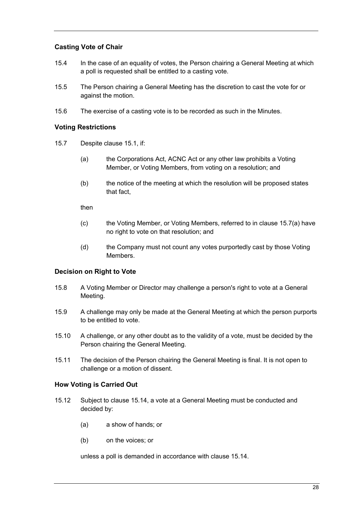## <span id="page-31-0"></span>**Casting Vote of Chair**

- 15.4 In the case of an equality of votes, the Person chairing a General Meeting at which a poll is requested shall be entitled to a casting vote.
- 15.5 The Person chairing a General Meeting has the discretion to cast the vote for or against the motion.
- 15.6 The exercise of a casting vote is to be recorded as such in the Minutes.

#### <span id="page-31-1"></span>**Voting Restrictions**

- <span id="page-31-5"></span><span id="page-31-4"></span>15.7 Despite clause [15.1,](#page-30-6) if:
	- (a) the Corporations Act, ACNC Act or any other law prohibits a Voting Member, or Voting Members, from voting on a resolution; and
	- (b) the notice of the meeting at which the resolution will be proposed states that fact,

then

- (c) the Voting Member, or Voting Members, referred to in clause [15.7\(a\)](#page-31-5) have no right to vote on that resolution; and
- (d) the Company must not count any votes purportedly cast by those Voting Members.

## <span id="page-31-2"></span>**Decision on Right to Vote**

- 15.8 A Voting Member or Director may challenge a person's right to vote at a General Meeting.
- 15.9 A challenge may only be made at the General Meeting at which the person purports to be entitled to vote.
- 15.10 A challenge, or any other doubt as to the validity of a vote, must be decided by the Person chairing the General Meeting.
- 15.11 The decision of the Person chairing the General Meeting is final. It is not open to challenge or a motion of dissent.

#### <span id="page-31-3"></span>**How Voting is Carried Out**

- 15.12 Subject to clause [15.14,](#page-32-5) a vote at a General Meeting must be conducted and decided by:
	- (a) a show of hands; or
	- (b) on the voices; or

unless a poll is demanded in accordance with clause [15.14.](#page-32-5)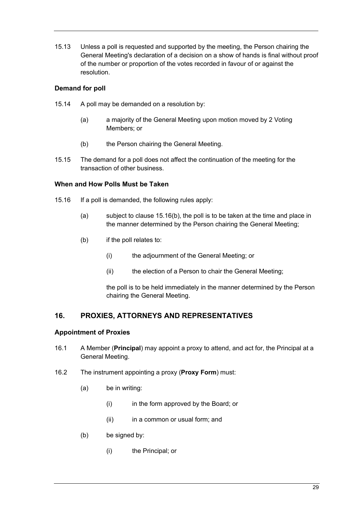15.13 Unless a poll is requested and supported by the meeting, the Person chairing the General Meeting's declaration of a decision on a show of hands is final without proof of the number or proportion of the votes recorded in favour of or against the resolution.

## <span id="page-32-0"></span>**Demand for poll**

- <span id="page-32-5"></span>15.14 A poll may be demanded on a resolution by:
	- (a) a majority of the General Meeting upon motion moved by 2 Voting Members; or
	- (b) the Person chairing the General Meeting.
- 15.15 The demand for a poll does not affect the continuation of the meeting for the transaction of other business.

## <span id="page-32-1"></span>**When and How Polls Must be Taken**

- <span id="page-32-6"></span>15.16 If a poll is demanded, the following rules apply:
	- (a) subject to clause [15.16\(b\),](#page-32-6) the poll is to be taken at the time and place in the manner determined by the Person chairing the General Meeting;
	- (b) if the poll relates to:
		- (i) the adjournment of the General Meeting; or
		- (ii) the election of a Person to chair the General Meeting;

the poll is to be held immediately in the manner determined by the Person chairing the General Meeting.

## <span id="page-32-2"></span>**16. PROXIES, ATTORNEYS AND REPRESENTATIVES**

## <span id="page-32-3"></span>**Appointment of Proxies**

- <span id="page-32-4"></span>16.1 A Member (**Principal**) may appoint a proxy to attend, and act for, the Principal at a General Meeting.
- <span id="page-32-7"></span>16.2 The instrument appointing a proxy (**Proxy Form**) must:
	- (a) be in writing:
		- (i) in the form approved by the Board; or
		- (ii) in a common or usual form; and
	- (b) be signed by:
		- (i) the Principal; or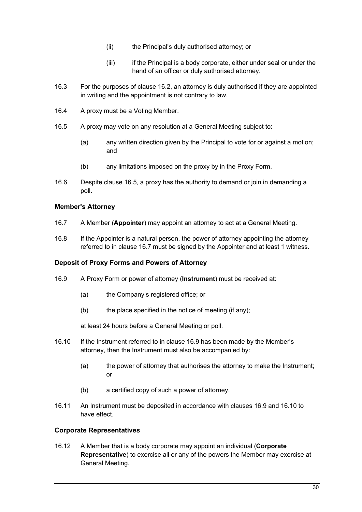- (ii) the Principal's duly authorised attorney; or
- (iii) if the Principal is a body corporate, either under seal or under the hand of an officer or duly authorised attorney.
- 16.3 For the purposes of clause [16.2,](#page-32-7) an attorney is duly authorised if they are appointed in writing and the appointment is not contrary to law.
- 16.4 A proxy must be a Voting Member.
- <span id="page-33-6"></span>16.5 A proxy may vote on any resolution at a General Meeting subject to:
	- (a) any written direction given by the Principal to vote for or against a motion; and
	- (b) any limitations imposed on the proxy by in the Proxy Form.
- 16.6 Despite clause [16.5,](#page-33-6) a proxy has the authority to demand or join in demanding a poll.

## <span id="page-33-0"></span>**Member's Attorney**

- <span id="page-33-3"></span>16.7 A Member (**Appointer**) may appoint an attorney to act at a General Meeting.
- 16.8 If the Appointer is a natural person, the power of attorney appointing the attorney referred to in clause [16.7](#page-33-3) must be signed by the Appointer and at least 1 witness.

## <span id="page-33-1"></span>**Deposit of Proxy Forms and Powers of Attorney**

- 16.9 A Proxy Form or power of attorney (**Instrument**) must be received at:
	- (a) the Company's registered office; or
	- $(b)$  the place specified in the notice of meeting (if any);

<span id="page-33-5"></span>at least 24 hours before a General Meeting or poll.

- <span id="page-33-7"></span>16.10 If the Instrument referred to in clause [16.9](#page-33-5) has been made by the Member's attorney, then the Instrument must also be accompanied by:
	- (a) the power of attorney that authorises the attorney to make the Instrument; or
	- (b) a certified copy of such a power of attorney.
- 16.11 An Instrument must be deposited in accordance with clauses [16.9](#page-33-5) and [16.10](#page-33-7) to have effect.

## <span id="page-33-2"></span>**Corporate Representatives**

<span id="page-33-4"></span>16.12 A Member that is a body corporate may appoint an individual (**Corporate Representative**) to exercise all or any of the powers the Member may exercise at General Meeting.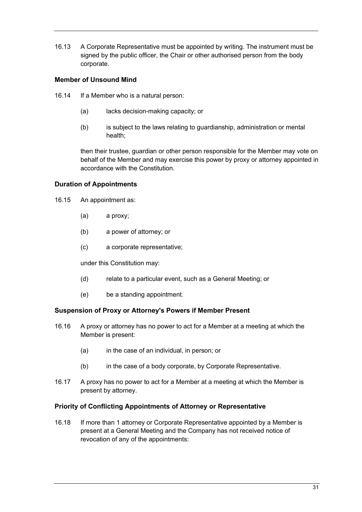16.13 A Corporate Representative must be appointed by writing. The instrument must be signed by the public officer, the Chair or other authorised person from the body corporate.

## <span id="page-34-0"></span>**Member of Unsound Mind**

- 16.14 If a Member who is a natural person:
	- (a) lacks decision-making capacity; or
	- (b) is subject to the laws relating to guardianship, administration or mental health;

then their trustee, guardian or other person responsible for the Member may vote on behalf of the Member and may exercise this power by proxy or attorney appointed in accordance with the Constitution.

## <span id="page-34-1"></span>**Duration of Appointments**

- 16.15 An appointment as:
	- (a) a proxy;
	- (b) a power of attorney; or
	- (c) a corporate representative;

under this Constitution may:

- (d) relate to a particular event, such as a General Meeting; or
- (e) be a standing appointment.

#### <span id="page-34-2"></span>**Suspension of Proxy or Attorney's Powers if Member Present**

- 16.16 A proxy or attorney has no power to act for a Member at a meeting at which the Member is present:
	- (a) in the case of an individual, in person; or
	- (b) in the case of a body corporate, by Corporate Representative.
- 16.17 A proxy has no power to act for a Member at a meeting at which the Member is present by attorney.

## <span id="page-34-3"></span>**Priority of Conflicting Appointments of Attorney or Representative**

16.18 If more than 1 attorney or Corporate Representative appointed by a Member is present at a General Meeting and the Company has not received notice of revocation of any of the appointments: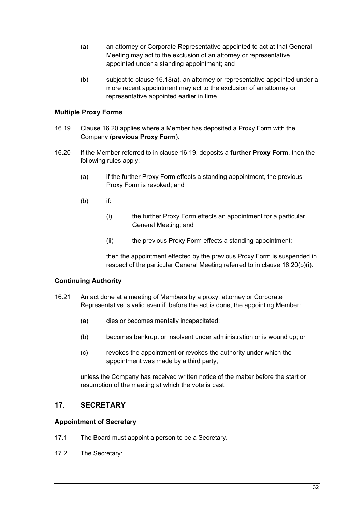- <span id="page-35-4"></span>(a) an attorney or Corporate Representative appointed to act at that General Meeting may act to the exclusion of an attorney or representative appointed under a standing appointment; and
- (b) subject to clause [16.18\(a\),](#page-35-4) an attorney or representative appointed under a more recent appointment may act to the exclusion of an attorney or representative appointed earlier in time.

## <span id="page-35-0"></span>**Multiple Proxy Forms**

- <span id="page-35-6"></span>16.19 Clause [16.20](#page-35-5) applies where a Member has deposited a Proxy Form with the Company (**previous Proxy Form**).
- <span id="page-35-7"></span><span id="page-35-5"></span>16.20 If the Member referred to in clause [16.19,](#page-35-6) deposits a **further Proxy Form**, then the following rules apply:
	- (a) if the further Proxy Form effects a standing appointment, the previous Proxy Form is revoked; and
	- (b) if:
		- (i) the further Proxy Form effects an appointment for a particular General Meeting; and
		- (ii) the previous Proxy Form effects a standing appointment;

then the appointment effected by the previous Proxy Form is suspended in respect of the particular General Meeting referred to in clause [16.20\(b\)\(i\).](#page-35-7)

## <span id="page-35-1"></span>**Continuing Authority**

- 16.21 An act done at a meeting of Members by a proxy, attorney or Corporate Representative is valid even if, before the act is done, the appointing Member:
	- (a) dies or becomes mentally incapacitated;
	- (b) becomes bankrupt or insolvent under administration or is wound up; or
	- (c) revokes the appointment or revokes the authority under which the appointment was made by a third party,

unless the Company has received written notice of the matter before the start or resumption of the meeting at which the vote is cast.

## <span id="page-35-2"></span>**17. SECRETARY**

## <span id="page-35-3"></span>**Appointment of Secretary**

- 17.1 The Board must appoint a person to be a Secretary.
- <span id="page-35-8"></span>17.2 The Secretary: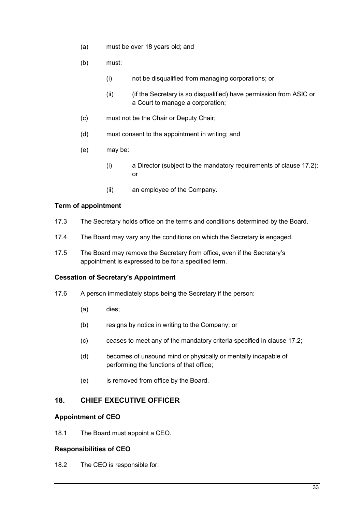- (a) must be over 18 years old; and
- (b) must:
	- (i) not be disqualified from managing corporations; or
	- (ii) (if the Secretary is so disqualified) have permission from ASIC or a Court to manage a corporation;
- (c) must not be the Chair or Deputy Chair;
- (d) must consent to the appointment in writing; and
- (e) may be:
	- (i) a Director (subject to the mandatory requirements of clause [17.2\)](#page-35-8); or
	- (ii) an employee of the Company.

#### <span id="page-36-0"></span>**Term of appointment**

- 17.3 The Secretary holds office on the terms and conditions determined by the Board.
- 17.4 The Board may vary any the conditions on which the Secretary is engaged.
- 17.5 The Board may remove the Secretary from office, even if the Secretary's appointment is expressed to be for a specified term.

#### <span id="page-36-1"></span>**Cessation of Secretary's Appointment**

- 17.6 A person immediately stops being the Secretary if the person:
	- (a) dies;
	- (b) resigns by notice in writing to the Company; or
	- (c) ceases to meet any of the mandatory criteria specified in claus[e 17.2;](#page-35-8)
	- (d) becomes of unsound mind or physically or mentally incapable of performing the functions of that office;
	- (e) is removed from office by the Board.

## <span id="page-36-2"></span>**18. CHIEF EXECUTIVE OFFICER**

#### <span id="page-36-3"></span>**Appointment of CEO**

18.1 The Board must appoint a CEO.

#### <span id="page-36-4"></span>**Responsibilities of CEO**

18.2 The CEO is responsible for: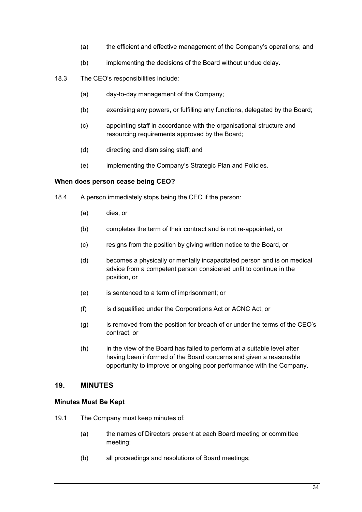- (a) the efficient and effective management of the Company's operations; and
- (b) implementing the decisions of the Board without undue delay.
- 18.3 The CEO's responsibilities include:
	- (a) day-to-day management of the Company;
	- (b) exercising any powers, or fulfilling any functions, delegated by the Board;
	- (c) appointing staff in accordance with the organisational structure and resourcing requirements approved by the Board;
	- (d) directing and dismissing staff; and
	- (e) implementing the Company's Strategic Plan and Policies.

## <span id="page-37-0"></span>**When does person cease being CEO?**

- 18.4 A person immediately stops being the CEO if the person:
	- (a) dies, or
	- (b) completes the term of their contract and is not re-appointed, or
	- (c) resigns from the position by giving written notice to the Board, or
	- (d) becomes a physically or mentally incapacitated person and is on medical advice from a competent person considered unfit to continue in the position, or
	- (e) is sentenced to a term of imprisonment; or
	- (f) is disqualified under the Corporations Act or ACNC Act; or
	- (g) is removed from the position for breach of or under the terms of the CEO's contract, or
	- (h) in the view of the Board has failed to perform at a suitable level after having been informed of the Board concerns and given a reasonable opportunity to improve or ongoing poor performance with the Company.

## <span id="page-37-1"></span>**19. MINUTES**

## <span id="page-37-2"></span>**Minutes Must Be Kept**

- <span id="page-37-3"></span>19.1 The Company must keep minutes of:
	- (a) the names of Directors present at each Board meeting or committee meeting;
	- (b) all proceedings and resolutions of Board meetings;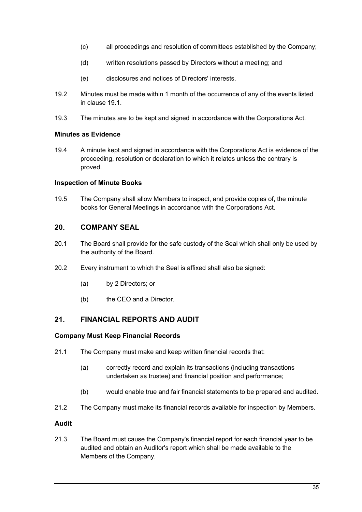- (c) all proceedings and resolution of committees established by the Company;
- (d) written resolutions passed by Directors without a meeting; and
- (e) disclosures and notices of Directors' interests.
- 19.2 Minutes must be made within 1 month of the occurrence of any of the events listed in clause [19.1.](#page-37-3)
- 19.3 The minutes are to be kept and signed in accordance with the Corporations Act.

## <span id="page-38-0"></span>**Minutes as Evidence**

19.4 A minute kept and signed in accordance with the Corporations Act is evidence of the proceeding, resolution or declaration to which it relates unless the contrary is proved.

## <span id="page-38-1"></span>**Inspection of Minute Books**

19.5 The Company shall allow Members to inspect, and provide copies of, the minute books for General Meetings in accordance with the Corporations Act.

# <span id="page-38-2"></span>**20. COMPANY SEAL**

- 20.1 The Board shall provide for the safe custody of the Seal which shall only be used by the authority of the Board.
- 20.2 Every instrument to which the Seal is affixed shall also be signed:
	- (a) by 2 Directors; or
	- (b) the CEO and a Director.

# <span id="page-38-3"></span>**21. FINANCIAL REPORTS AND AUDIT**

## <span id="page-38-4"></span>**Company Must Keep Financial Records**

- 21.1 The Company must make and keep written financial records that:
	- (a) correctly record and explain its transactions (including transactions undertaken as trustee) and financial position and performance;
	- (b) would enable true and fair financial statements to be prepared and audited.
- 21.2 The Company must make its financial records available for inspection by Members.

## <span id="page-38-5"></span>**Audit**

21.3 The Board must cause the Company's financial report for each financial year to be audited and obtain an Auditor's report which shall be made available to the Members of the Company.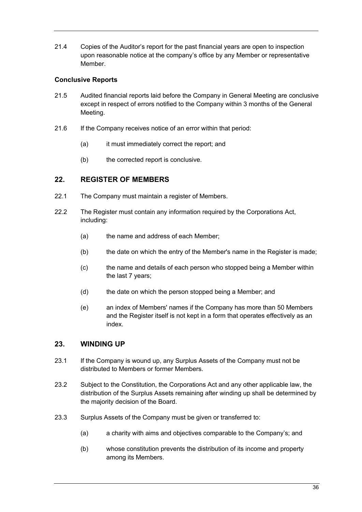21.4 Copies of the Auditor's report for the past financial years are open to inspection upon reasonable notice at the company's office by any Member or representative Member.

## <span id="page-39-0"></span>**Conclusive Reports**

- 21.5 Audited financial reports laid before the Company in General Meeting are conclusive except in respect of errors notified to the Company within 3 months of the General Meeting.
- 21.6 If the Company receives notice of an error within that period:
	- (a) it must immediately correct the report; and
	- (b) the corrected report is conclusive.

# <span id="page-39-1"></span>**22. REGISTER OF MEMBERS**

- 22.1 The Company must maintain a register of Members.
- 22.2 The Register must contain any information required by the Corporations Act. including:
	- (a) the name and address of each Member;
	- (b) the date on which the entry of the Member's name in the Register is made;
	- (c) the name and details of each person who stopped being a Member within the last 7 years;
	- (d) the date on which the person stopped being a Member; and
	- (e) an index of Members' names if the Company has more than 50 Members and the Register itself is not kept in a form that operates effectively as an index.

## <span id="page-39-2"></span>**23. WINDING UP**

- 23.1 If the Company is wound up, any Surplus Assets of the Company must not be distributed to Members or former Members.
- 23.2 Subject to the Constitution, the Corporations Act and any other applicable law, the distribution of the Surplus Assets remaining after winding up shall be determined by the majority decision of the Board.
- 23.3 Surplus Assets of the Company must be given or transferred to:
	- (a) a charity with aims and objectives comparable to the Company's; and
	- (b) whose constitution prevents the distribution of its income and property among its Members.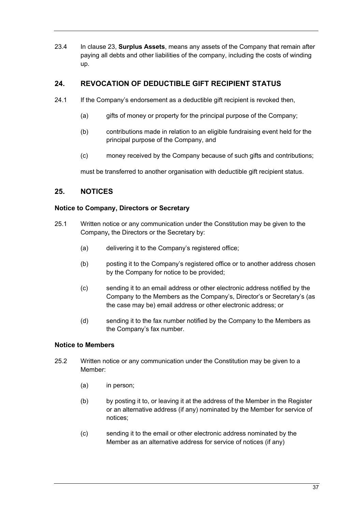23.4 In clause [23,](#page-39-2) **Surplus Assets**, means any assets of the Company that remain after paying all debts and other liabilities of the company, including the costs of winding up.

# <span id="page-40-0"></span>**24. REVOCATION OF DEDUCTIBLE GIFT RECIPIENT STATUS**

- 24.1 If the Company's endorsement as a deductible gift recipient is revoked then,
	- (a) gifts of money or property for the principal purpose of the Company;
	- (b) contributions made in relation to an eligible fundraising event held for the principal purpose of the Company, and
	- (c) money received by the Company because of such gifts and contributions;

must be transferred to another organisation with deductible gift recipient status.

# <span id="page-40-1"></span>**25. NOTICES**

## <span id="page-40-2"></span>**Notice to Company, Directors or Secretary**

- 25.1 Written notice or any communication under the Constitution may be given to the Company**,** the Directors or the Secretary by:
	- (a) delivering it to the Company's registered office;
	- (b) posting it to the Company's registered office or to another address chosen by the Company for notice to be provided;
	- (c) sending it to an email address or other electronic address notified by the Company to the Members as the Company's, Director's or Secretary's (as the case may be) email address or other electronic address; or
	- (d) sending it to the fax number notified by the Company to the Members as the Company's fax number.

## <span id="page-40-3"></span>**Notice to Members**

- 25.2 Written notice or any communication under the Constitution may be given to a Member:
	- (a) in person;
	- (b) by posting it to, or leaving it at the address of the Member in the Register or an alternative address (if any) nominated by the Member for service of notices;
	- (c) sending it to the email or other electronic address nominated by the Member as an alternative address for service of notices (if any)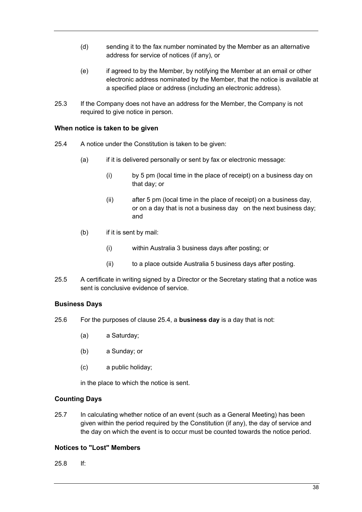- (d) sending it to the fax number nominated by the Member as an alternative address for service of notices (if any), or
- (e) if agreed to by the Member, by notifying the Member at an email or other electronic address nominated by the Member, that the notice is available at a specified place or address (including an electronic address).
- 25.3 If the Company does not have an address for the Member, the Company is not required to give notice in person.

## <span id="page-41-0"></span>**When notice is taken to be given**

- <span id="page-41-4"></span>25.4 A notice under the Constitution is taken to be given:
	- (a) if it is delivered personally or sent by fax or electronic message:
		- (i) by 5 pm (local time in the place of receipt) on a business day on that day; or
		- (ii) after 5 pm (local time in the place of receipt) on a business day, or on a day that is not a business day on the next business day; and
	- (b) if it is sent by mail:
		- (i) within Australia 3 business days after posting; or
		- (ii) to a place outside Australia 5 business days after posting.
- 25.5 A certificate in writing signed by a Director or the Secretary stating that a notice was sent is conclusive evidence of service.

## <span id="page-41-1"></span>**Business Days**

- 25.6 For the purposes of clause [25.4,](#page-41-4) a **business day** is a day that is not:
	- (a) a Saturday;
	- (b) a Sunday; or
	- (c) a public holiday;

in the place to which the notice is sent.

## <span id="page-41-2"></span>**Counting Days**

25.7 In calculating whether notice of an event (such as a General Meeting) has been given within the period required by the Constitution (if any), the day of service and the day on which the event is to occur must be counted towards the notice period.

## <span id="page-41-3"></span>**Notices to "Lost" Members**

<span id="page-41-5"></span>25.8 If: